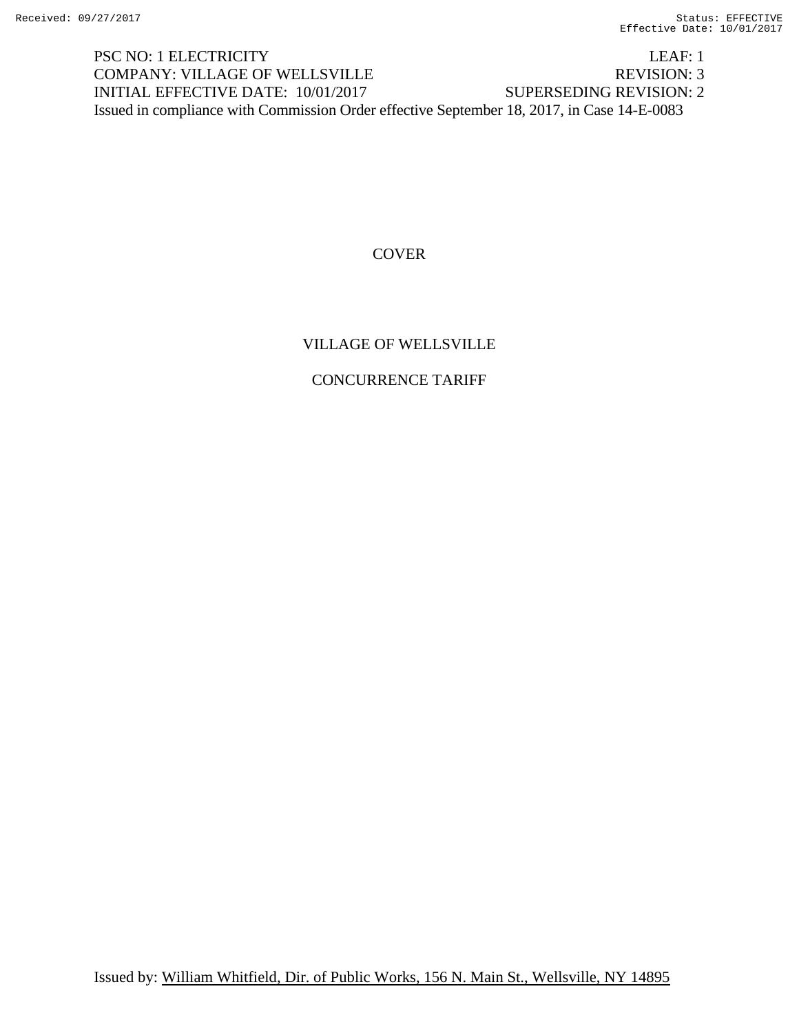PSC NO: 1 ELECTRICITY LEAF: 1 COMPANY: VILLAGE OF WELLSVILLE REVISION: 3 INITIAL EFFECTIVE DATE: 10/01/2017 SUPERSEDING REVISION: 2 Issued in compliance with Commission Order effective September 18, 2017, in Case 14-E-0083

## **COVER**

## VILLAGE OF WELLSVILLE

## CONCURRENCE TARIFF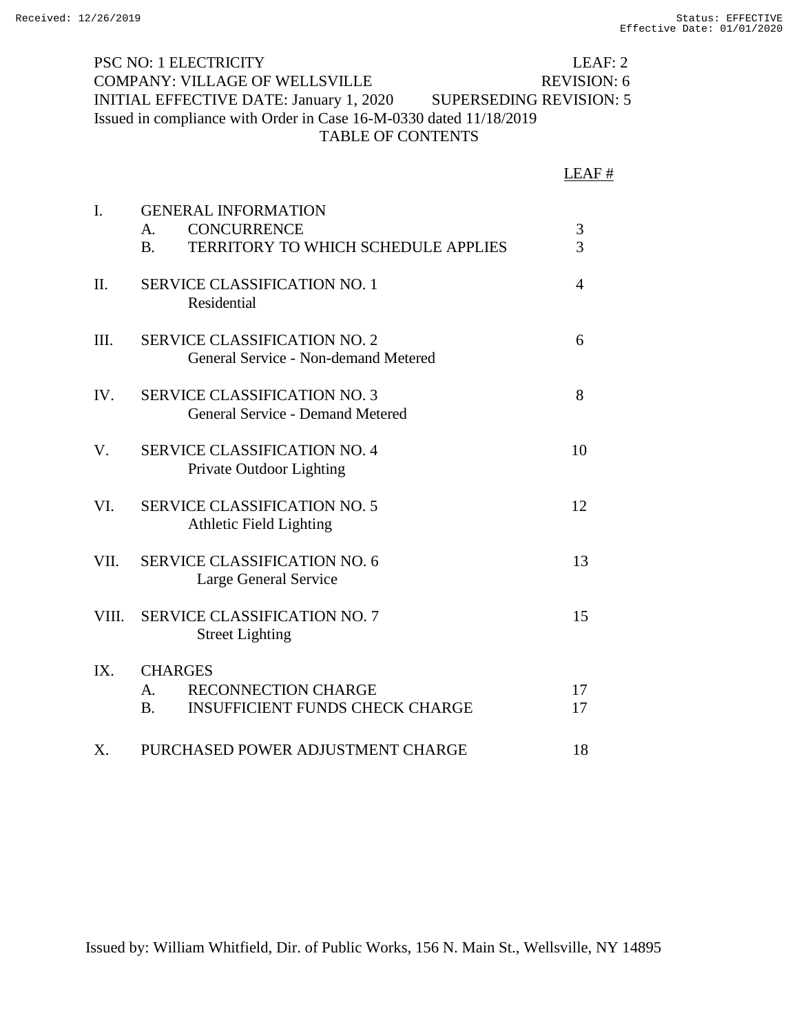PSC NO: 1 ELECTRICITY LEAF: 2 COMPANY: VILLAGE OF WELLSVILLE REVISION: 6 INITIAL EFFECTIVE DATE: January 1, 2020 SUPERSEDING REVISION: 5 Issued in compliance with Order in Case 16-M-0330 dated 11/18/2019 TABLE OF CONTENTS

|                |                                                                                                                   | LEAF#    |
|----------------|-------------------------------------------------------------------------------------------------------------------|----------|
| $\mathbf{I}$ . | <b>GENERAL INFORMATION</b><br><b>CONCURRENCE</b><br>A.<br><b>TERRITORY TO WHICH SCHEDULE APPLIES</b><br><b>B.</b> | 3<br>3   |
| Π.             | <b>SERVICE CLASSIFICATION NO. 1</b><br>Residential                                                                | 4        |
| III.           | <b>SERVICE CLASSIFICATION NO. 2</b><br>General Service - Non-demand Metered                                       | 6        |
| IV.            | <b>SERVICE CLASSIFICATION NO. 3</b><br><b>General Service - Demand Metered</b>                                    | 8        |
| V.             | <b>SERVICE CLASSIFICATION NO. 4</b><br>Private Outdoor Lighting                                                   | 10       |
| VI.            | <b>SERVICE CLASSIFICATION NO. 5</b><br><b>Athletic Field Lighting</b>                                             | 12       |
| VII.           | <b>SERVICE CLASSIFICATION NO. 6</b><br>Large General Service                                                      | 13       |
| VIII.          | <b>SERVICE CLASSIFICATION NO. 7</b><br><b>Street Lighting</b>                                                     | 15       |
| IX.            | <b>CHARGES</b><br><b>RECONNECTION CHARGE</b><br>A.<br><b>INSUFFICIENT FUNDS CHECK CHARGE</b><br><b>B.</b>         | 17<br>17 |
| X.             | PURCHASED POWER ADJUSTMENT CHARGE                                                                                 | 18       |

Issued by: William Whitfield, Dir. of Public Works, 156 N. Main St., Wellsville, NY 14895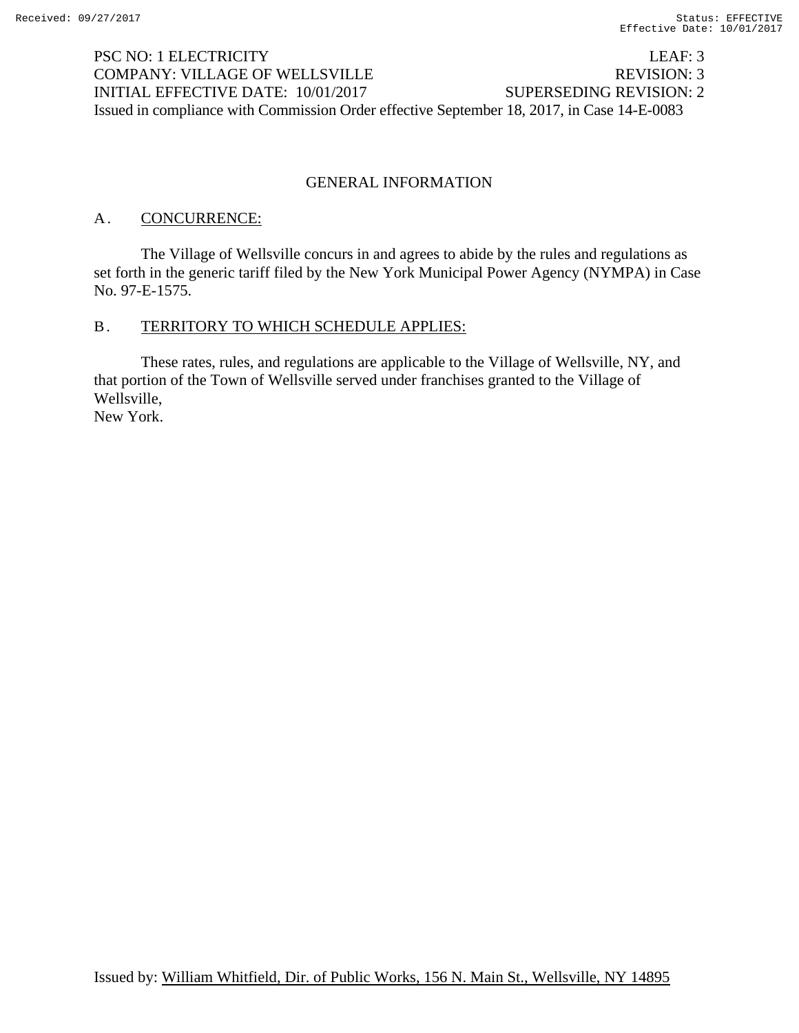## PSC NO: 1 ELECTRICITY LEAF: 3 COMPANY: VILLAGE OF WELLSVILLE REVISION: 3 INITIAL EFFECTIVE DATE: 10/01/2017 SUPERSEDING REVISION: 2 Issued in compliance with Commission Order effective September 18, 2017, in Case 14-E-0083

## GENERAL INFORMATION

## A. **CONCURRENCE:**

 The Village of Wellsville concurs in and agrees to abide by the rules and regulations as set forth in the generic tariff filed by the New York Municipal Power Agency (NYMPA) in Case No. 97-E-1575.

## B. TERRITORY TO WHICH SCHEDULE APPLIES:

 These rates, rules, and regulations are applicable to the Village of Wellsville, NY, and that portion of the Town of Wellsville served under franchises granted to the Village of Wellsville, New York.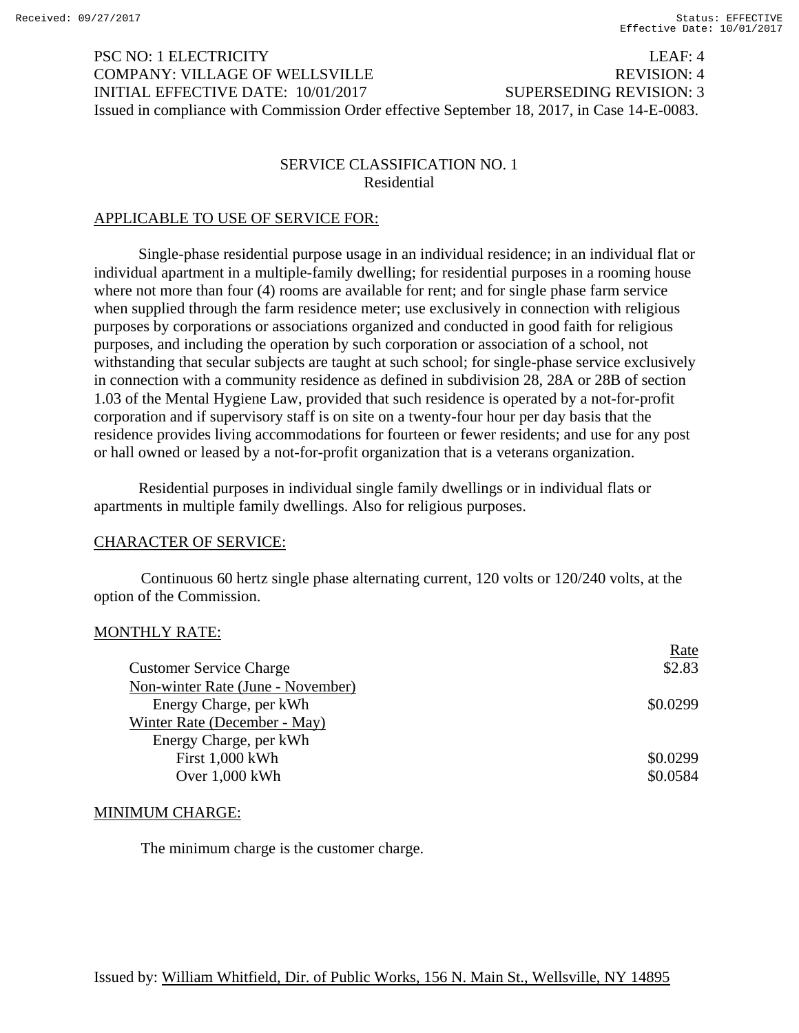## PSC NO: 1 ELECTRICITY LEAF: 4 COMPANY: VILLAGE OF WELLSVILLE REVISION: 4 INITIAL EFFECTIVE DATE: 10/01/2017 SUPERSEDING REVISION: 3 Issued in compliance with Commission Order effective September 18, 2017, in Case 14-E-0083.

## SERVICE CLASSIFICATION NO. 1 Residential

## APPLICABLE TO USE OF SERVICE FOR:

Single-phase residential purpose usage in an individual residence; in an individual flat or individual apartment in a multiple-family dwelling; for residential purposes in a rooming house where not more than four (4) rooms are available for rent; and for single phase farm service when supplied through the farm residence meter; use exclusively in connection with religious purposes by corporations or associations organized and conducted in good faith for religious purposes, and including the operation by such corporation or association of a school, not withstanding that secular subjects are taught at such school; for single-phase service exclusively in connection with a community residence as defined in subdivision 28, 28A or 28B of section 1.03 of the Mental Hygiene Law, provided that such residence is operated by a not-for-profit corporation and if supervisory staff is on site on a twenty-four hour per day basis that the residence provides living accommodations for fourteen or fewer residents; and use for any post or hall owned or leased by a not-for-profit organization that is a veterans organization.

Residential purposes in individual single family dwellings or in individual flats or apartments in multiple family dwellings. Also for religious purposes.

## CHARACTER OF SERVICE:

Continuous 60 hertz single phase alternating current, 120 volts or 120/240 volts, at the option of the Commission.

## MONTHLY RATE:

|                                   | Rate     |
|-----------------------------------|----------|
| <b>Customer Service Charge</b>    | \$2.83   |
| Non-winter Rate (June - November) |          |
| Energy Charge, per kWh            | \$0.0299 |
| Winter Rate (December - May)      |          |
| Energy Charge, per kWh            |          |
| First 1,000 kWh                   | \$0.0299 |
| Over $1,000$ kWh                  | \$0.0584 |
|                                   |          |

#### MINIMUM CHARGE:

The minimum charge is the customer charge.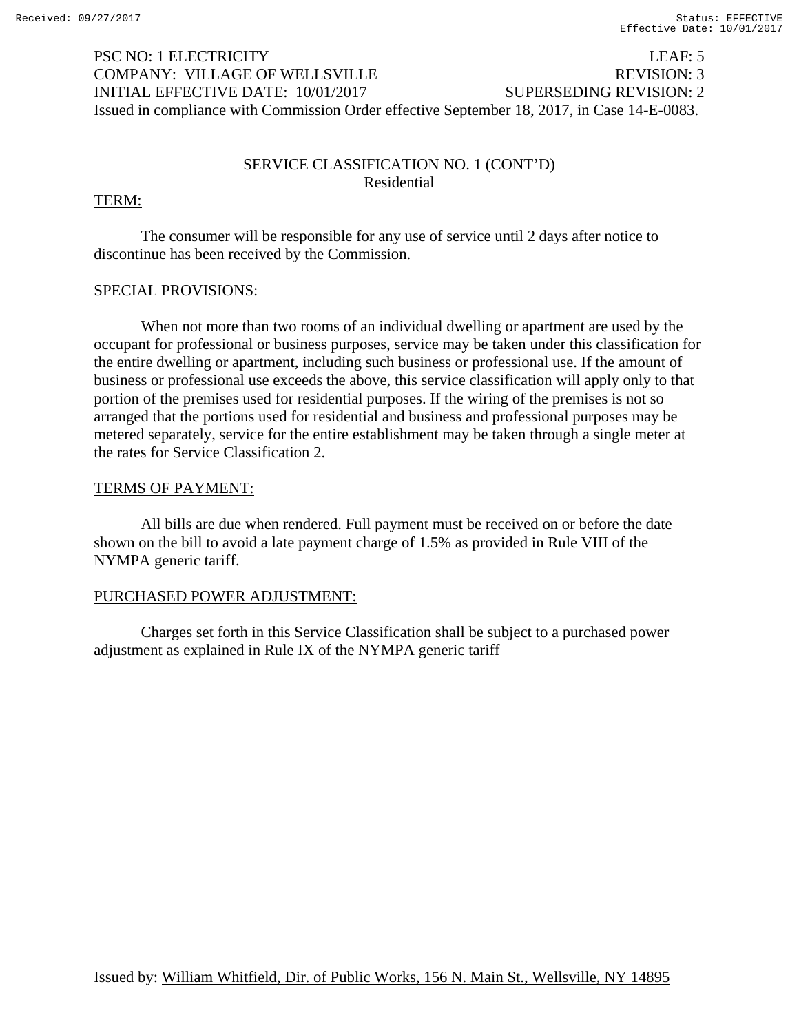# PSC NO: 1 ELECTRICITY LEAF: 5 COMPANY: VILLAGE OF WELLSVILLE REVISION: 3 INITIAL EFFECTIVE DATE: 10/01/2017 SUPERSEDING REVISION: 2 Issued in compliance with Commission Order effective September 18, 2017, in Case 14-E-0083.

## SERVICE CLASSIFICATION NO. 1 (CONT'D) Residential

## TERM:

 The consumer will be responsible for any use of service until 2 days after notice to discontinue has been received by the Commission.

## SPECIAL PROVISIONS:

 When not more than two rooms of an individual dwelling or apartment are used by the occupant for professional or business purposes, service may be taken under this classification for the entire dwelling or apartment, including such business or professional use. If the amount of business or professional use exceeds the above, this service classification will apply only to that portion of the premises used for residential purposes. If the wiring of the premises is not so arranged that the portions used for residential and business and professional purposes may be metered separately, service for the entire establishment may be taken through a single meter at the rates for Service Classification 2.

## TERMS OF PAYMENT:

 All bills are due when rendered. Full payment must be received on or before the date shown on the bill to avoid a late payment charge of 1.5% as provided in Rule VIII of the NYMPA generic tariff.

## PURCHASED POWER ADJUSTMENT:

 Charges set forth in this Service Classification shall be subject to a purchased power adjustment as explained in Rule IX of the NYMPA generic tariff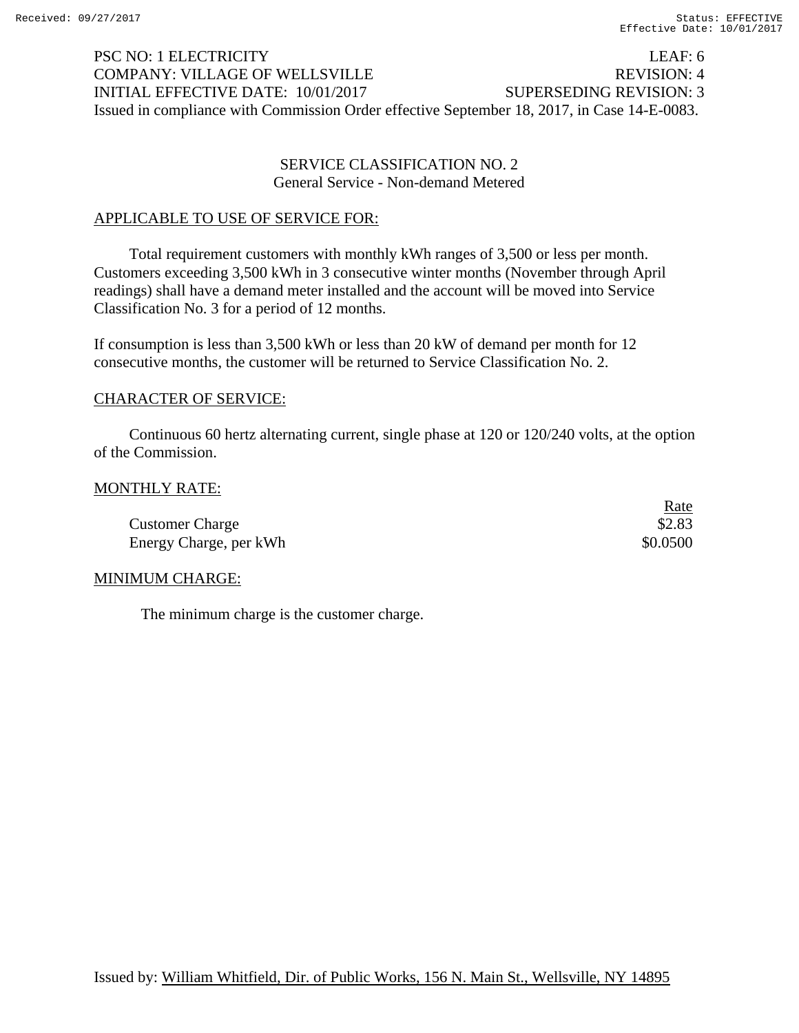## PSC NO: 1 ELECTRICITY LEAF: 6 COMPANY: VILLAGE OF WELLSVILLE REVISION: 4 INITIAL EFFECTIVE DATE: 10/01/2017 SUPERSEDING REVISION: 3 Issued in compliance with Commission Order effective September 18, 2017, in Case 14-E-0083.

## SERVICE CLASSIFICATION NO. 2 General Service - Non-demand Metered

## APPLICABLE TO USE OF SERVICE FOR:

 Total requirement customers with monthly kWh ranges of 3,500 or less per month. Customers exceeding 3,500 kWh in 3 consecutive winter months (November through April readings) shall have a demand meter installed and the account will be moved into Service Classification No. 3 for a period of 12 months.

If consumption is less than 3,500 kWh or less than 20 kW of demand per month for 12 consecutive months, the customer will be returned to Service Classification No. 2.

## CHARACTER OF SERVICE:

 Continuous 60 hertz alternating current, single phase at 120 or 120/240 volts, at the option of the Commission.

#### MONTHLY RATE:

|                        | <u>Rate</u> |
|------------------------|-------------|
| <b>Customer Charge</b> | \$2.83      |
| Energy Charge, per kWh | \$0.0500    |

## MINIMUM CHARGE:

The minimum charge is the customer charge.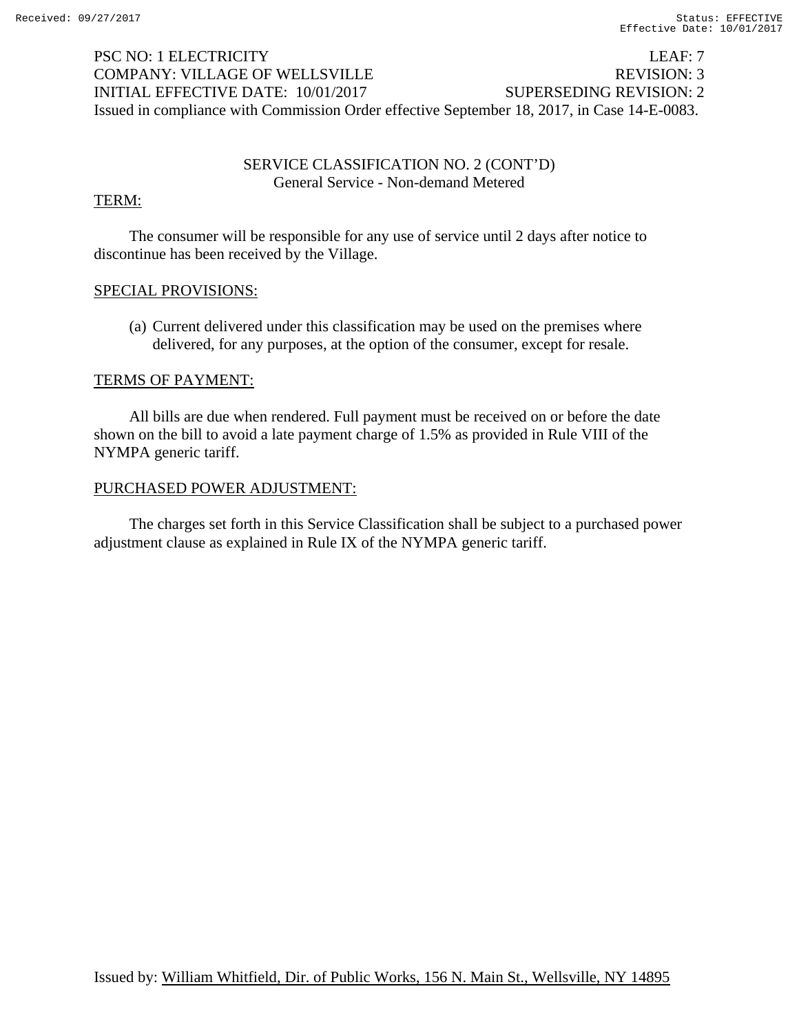# PSC NO: 1 ELECTRICITY LEAF: 7 COMPANY: VILLAGE OF WELLSVILLE REVISION: 3 INITIAL EFFECTIVE DATE: 10/01/2017 SUPERSEDING REVISION: 2 Issued in compliance with Commission Order effective September 18, 2017, in Case 14-E-0083.

## SERVICE CLASSIFICATION NO. 2 (CONT'D) General Service - Non-demand Metered

## TERM:

 The consumer will be responsible for any use of service until 2 days after notice to discontinue has been received by the Village.

## SPECIAL PROVISIONS:

 (a) Current delivered under this classification may be used on the premises where delivered, for any purposes, at the option of the consumer, except for resale.

## TERMS OF PAYMENT:

 All bills are due when rendered. Full payment must be received on or before the date shown on the bill to avoid a late payment charge of 1.5% as provided in Rule VIII of the NYMPA generic tariff.

## PURCHASED POWER ADJUSTMENT:

 The charges set forth in this Service Classification shall be subject to a purchased power adjustment clause as explained in Rule IX of the NYMPA generic tariff.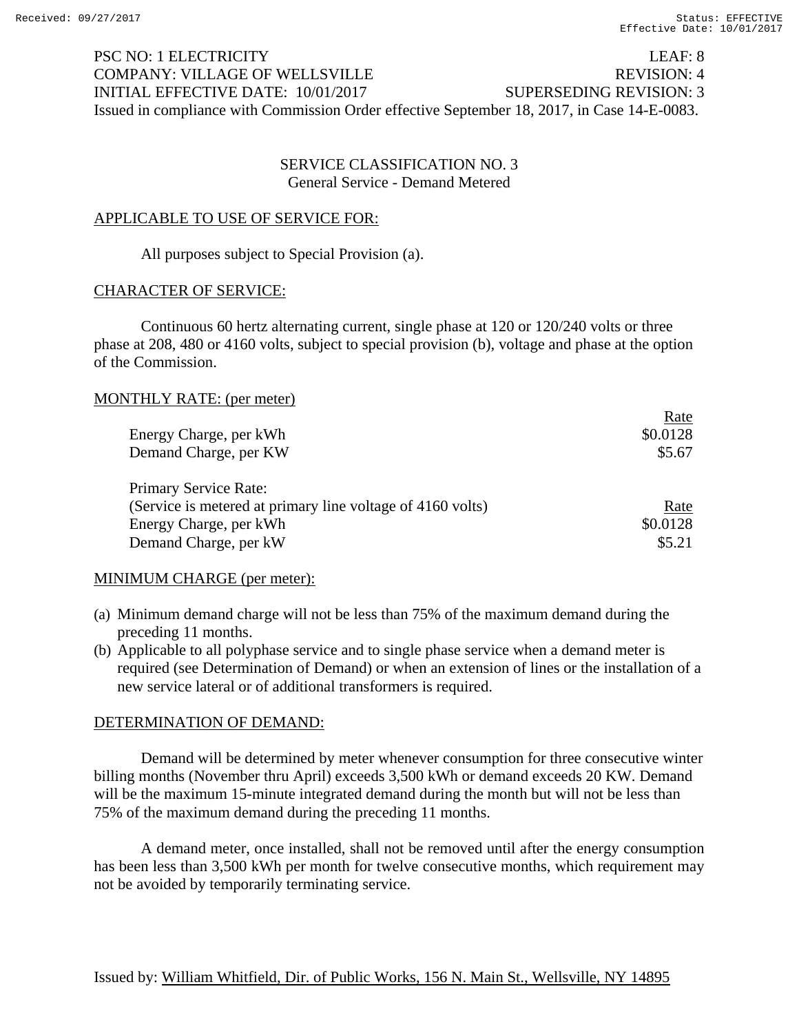$\mathbf{D}$ 

# PSC NO: 1 ELECTRICITY LEAF: 8 COMPANY: VILLAGE OF WELLSVILLE REVISION: 4 INITIAL EFFECTIVE DATE: 10/01/2017 SUPERSEDING REVISION: 3 Issued in compliance with Commission Order effective September 18, 2017, in Case 14-E-0083.

## SERVICE CLASSIFICATION NO. 3 General Service - Demand Metered

## APPLICABLE TO USE OF SERVICE FOR:

All purposes subject to Special Provision (a).

## CHARACTER OF SERVICE:

 Continuous 60 hertz alternating current, single phase at 120 or 120/240 volts or three phase at 208, 480 or 4160 volts, subject to special provision (b), voltage and phase at the option of the Commission.

## MONTHLY RATE: (per meter)

|                                                            | Rate     |
|------------------------------------------------------------|----------|
| Energy Charge, per kWh                                     | \$0.0128 |
| Demand Charge, per KW                                      | \$5.67   |
| Primary Service Rate:                                      |          |
| (Service is metered at primary line voltage of 4160 volts) | Rate     |
| Energy Charge, per kWh                                     | \$0.0128 |
| Demand Charge, per kW                                      | \$5.21   |

## MINIMUM CHARGE (per meter):

- (a) Minimum demand charge will not be less than 75% of the maximum demand during the preceding 11 months.
- (b) Applicable to all polyphase service and to single phase service when a demand meter is required (see Determination of Demand) or when an extension of lines or the installation of a new service lateral or of additional transformers is required.

## DETERMINATION OF DEMAND:

 Demand will be determined by meter whenever consumption for three consecutive winter billing months (November thru April) exceeds 3,500 kWh or demand exceeds 20 KW. Demand will be the maximum 15-minute integrated demand during the month but will not be less than 75% of the maximum demand during the preceding 11 months.

 A demand meter, once installed, shall not be removed until after the energy consumption has been less than 3,500 kWh per month for twelve consecutive months, which requirement may not be avoided by temporarily terminating service.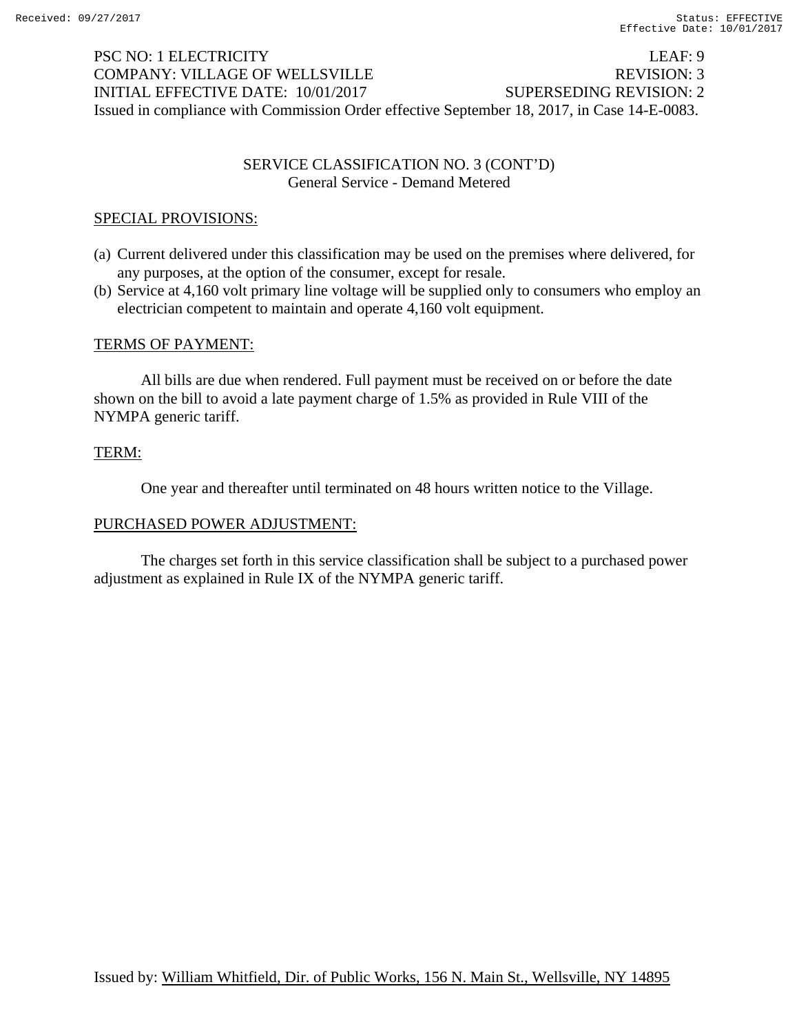# PSC NO: 1 ELECTRICITY LEAF: 9 COMPANY: VILLAGE OF WELLSVILLE REVISION: 3 INITIAL EFFECTIVE DATE: 10/01/2017 SUPERSEDING REVISION: 2 Issued in compliance with Commission Order effective September 18, 2017, in Case 14-E-0083.

## SERVICE CLASSIFICATION NO. 3 (CONT'D) General Service - Demand Metered

## SPECIAL PROVISIONS:

- (a) Current delivered under this classification may be used on the premises where delivered, for any purposes, at the option of the consumer, except for resale.
- (b) Service at 4,160 volt primary line voltage will be supplied only to consumers who employ an electrician competent to maintain and operate 4,160 volt equipment.

## TERMS OF PAYMENT:

 All bills are due when rendered. Full payment must be received on or before the date shown on the bill to avoid a late payment charge of 1.5% as provided in Rule VIII of the NYMPA generic tariff.

## TERM:

One year and thereafter until terminated on 48 hours written notice to the Village.

## PURCHASED POWER ADJUSTMENT:

 The charges set forth in this service classification shall be subject to a purchased power adjustment as explained in Rule IX of the NYMPA generic tariff.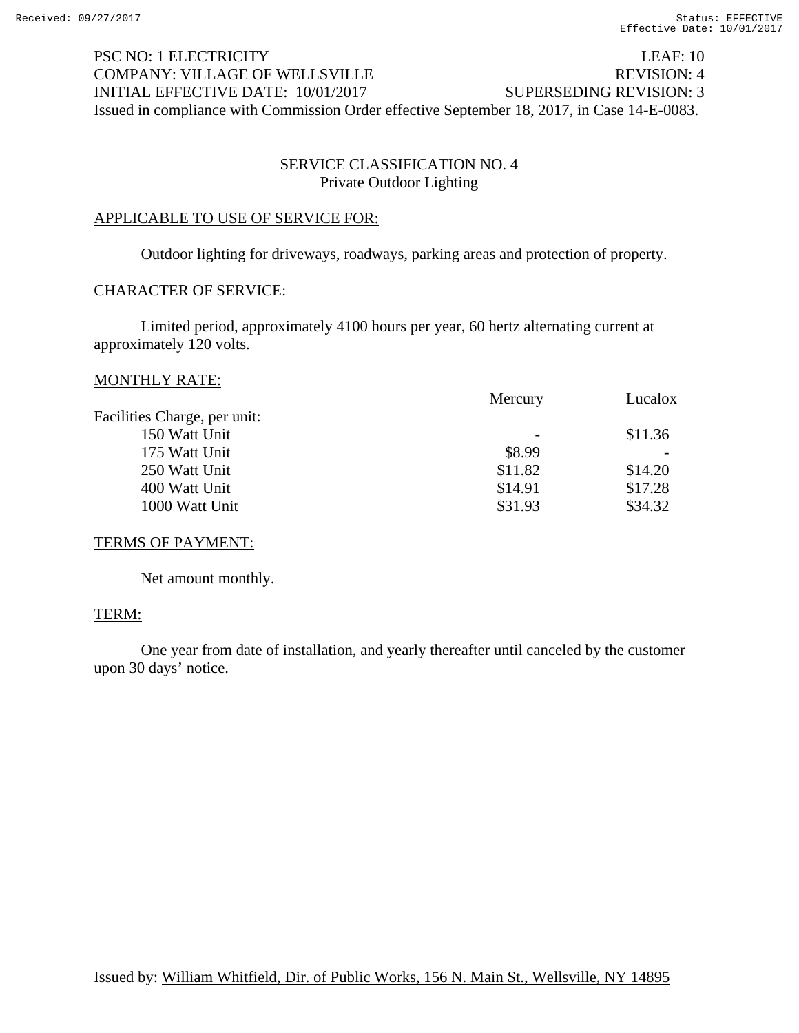# PSC NO: 1 ELECTRICITY LEAF: 10 COMPANY: VILLAGE OF WELLSVILLE REVISION: 4 INITIAL EFFECTIVE DATE: 10/01/2017 SUPERSEDING REVISION: 3 Issued in compliance with Commission Order effective September 18, 2017, in Case 14-E-0083.

## SERVICE CLASSIFICATION NO. 4 Private Outdoor Lighting

## APPLICABLE TO USE OF SERVICE FOR:

Outdoor lighting for driveways, roadways, parking areas and protection of property.

## CHARACTER OF SERVICE:

 Limited period, approximately 4100 hours per year, 60 hertz alternating current at approximately 120 volts.

#### MONTHLY RATE:

|                              | Mercury                  | Lucalox |
|------------------------------|--------------------------|---------|
| Facilities Charge, per unit: |                          |         |
| 150 Watt Unit                | $\overline{\phantom{a}}$ | \$11.36 |
| 175 Watt Unit                | \$8.99                   |         |
| 250 Watt Unit                | \$11.82                  | \$14.20 |
| 400 Watt Unit                | \$14.91                  | \$17.28 |
| 1000 Watt Unit               | \$31.93                  | \$34.32 |
|                              |                          |         |

## TERMS OF PAYMENT:

Net amount monthly.

## TERM:

 One year from date of installation, and yearly thereafter until canceled by the customer upon 30 days' notice.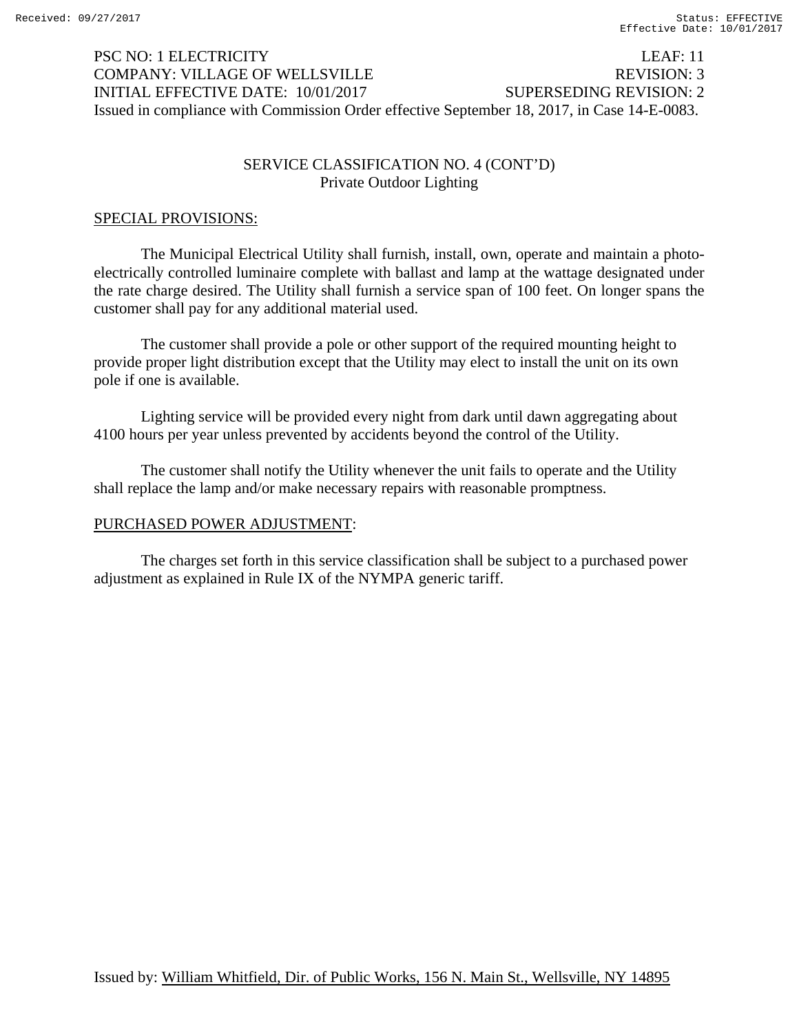# PSC NO: 1 ELECTRICITY LEAF: 11 COMPANY: VILLAGE OF WELLSVILLE REVISION: 3 INITIAL EFFECTIVE DATE: 10/01/2017 SUPERSEDING REVISION: 2 Issued in compliance with Commission Order effective September 18, 2017, in Case 14-E-0083.

## SERVICE CLASSIFICATION NO. 4 (CONT'D) Private Outdoor Lighting

## SPECIAL PROVISIONS:

 The Municipal Electrical Utility shall furnish, install, own, operate and maintain a photoelectrically controlled luminaire complete with ballast and lamp at the wattage designated under the rate charge desired. The Utility shall furnish a service span of 100 feet. On longer spans the customer shall pay for any additional material used.

 The customer shall provide a pole or other support of the required mounting height to provide proper light distribution except that the Utility may elect to install the unit on its own pole if one is available.

 Lighting service will be provided every night from dark until dawn aggregating about 4100 hours per year unless prevented by accidents beyond the control of the Utility.

 The customer shall notify the Utility whenever the unit fails to operate and the Utility shall replace the lamp and/or make necessary repairs with reasonable promptness.

## PURCHASED POWER ADJUSTMENT:

 The charges set forth in this service classification shall be subject to a purchased power adjustment as explained in Rule IX of the NYMPA generic tariff.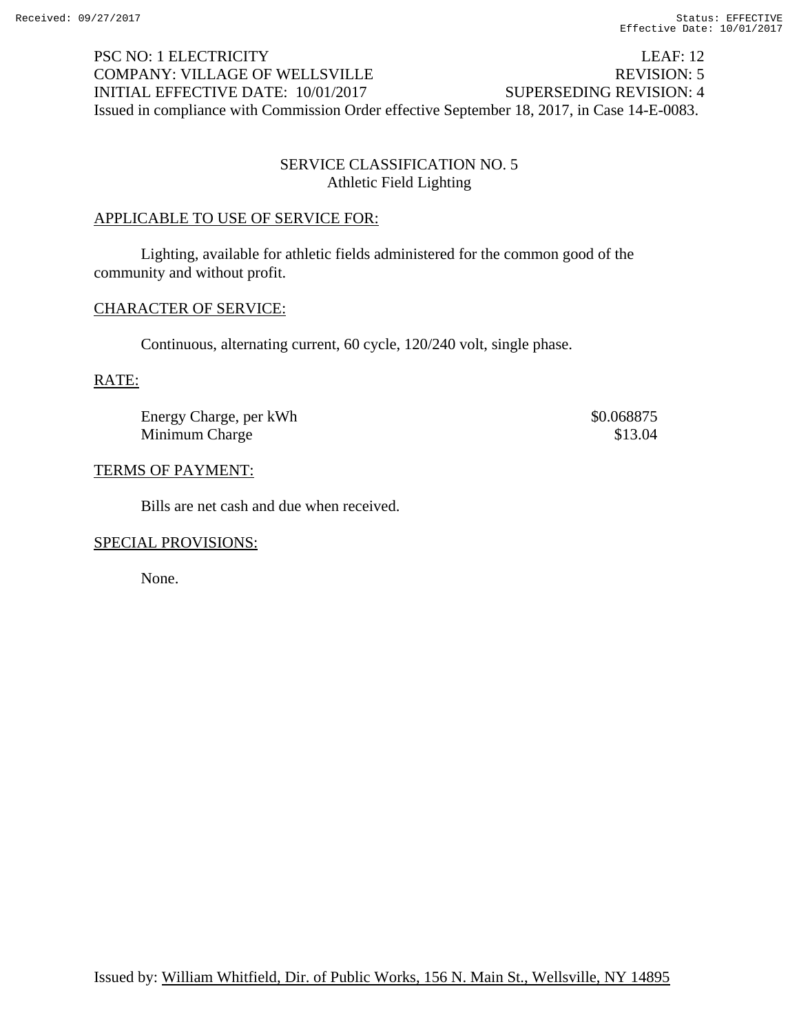# PSC NO: 1 ELECTRICITY LEAF: 12 COMPANY: VILLAGE OF WELLSVILLE REVISION: 5 INITIAL EFFECTIVE DATE: 10/01/2017 SUPERSEDING REVISION: 4 Issued in compliance with Commission Order effective September 18, 2017, in Case 14-E-0083.

## SERVICE CLASSIFICATION NO. 5 Athletic Field Lighting

## APPLICABLE TO USE OF SERVICE FOR:

 Lighting, available for athletic fields administered for the common good of the community and without profit.

## CHARACTER OF SERVICE:

Continuous, alternating current, 60 cycle, 120/240 volt, single phase.

## RATE:

Energy Charge, per kWh  $$0.068875$ Minimum Charge  $$13.04$ 

## TERMS OF PAYMENT:

Bills are net cash and due when received.

## SPECIAL PROVISIONS:

None.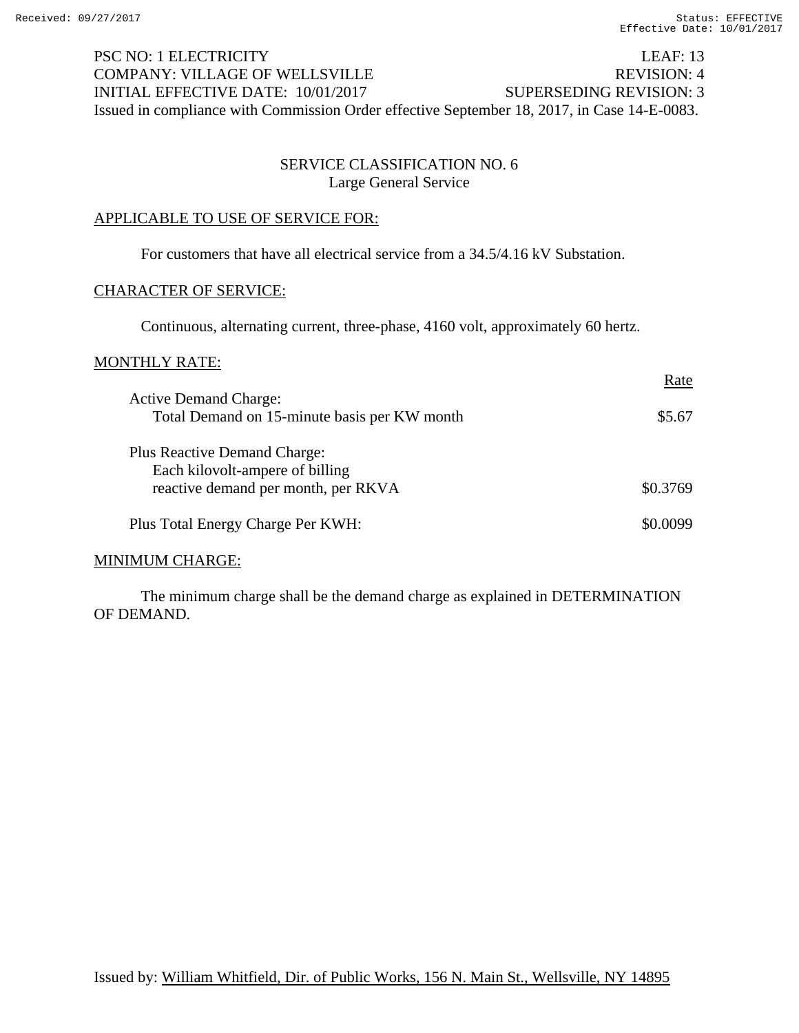# PSC NO: 1 ELECTRICITY LEAF: 13 COMPANY: VILLAGE OF WELLSVILLE REVISION: 4 INITIAL EFFECTIVE DATE: 10/01/2017 SUPERSEDING REVISION: 3 Issued in compliance with Commission Order effective September 18, 2017, in Case 14-E-0083.

## SERVICE CLASSIFICATION NO. 6 Large General Service

## APPLICABLE TO USE OF SERVICE FOR:

For customers that have all electrical service from a 34.5/4.16 kV Substation.

#### CHARACTER OF SERVICE:

Continuous, alternating current, three-phase, 4160 volt, approximately 60 hertz.

#### MONTHLY RATE:

|                                                                                                               | Rate     |
|---------------------------------------------------------------------------------------------------------------|----------|
| <b>Active Demand Charge:</b><br>Total Demand on 15-minute basis per KW month                                  | \$5.67   |
| <b>Plus Reactive Demand Charge:</b><br>Each kilovolt-ampere of billing<br>reactive demand per month, per RKVA | \$0.3769 |
| Plus Total Energy Charge Per KWH:                                                                             | \$0,0099 |

## MINIMUM CHARGE:

 The minimum charge shall be the demand charge as explained in DETERMINATION OF DEMAND.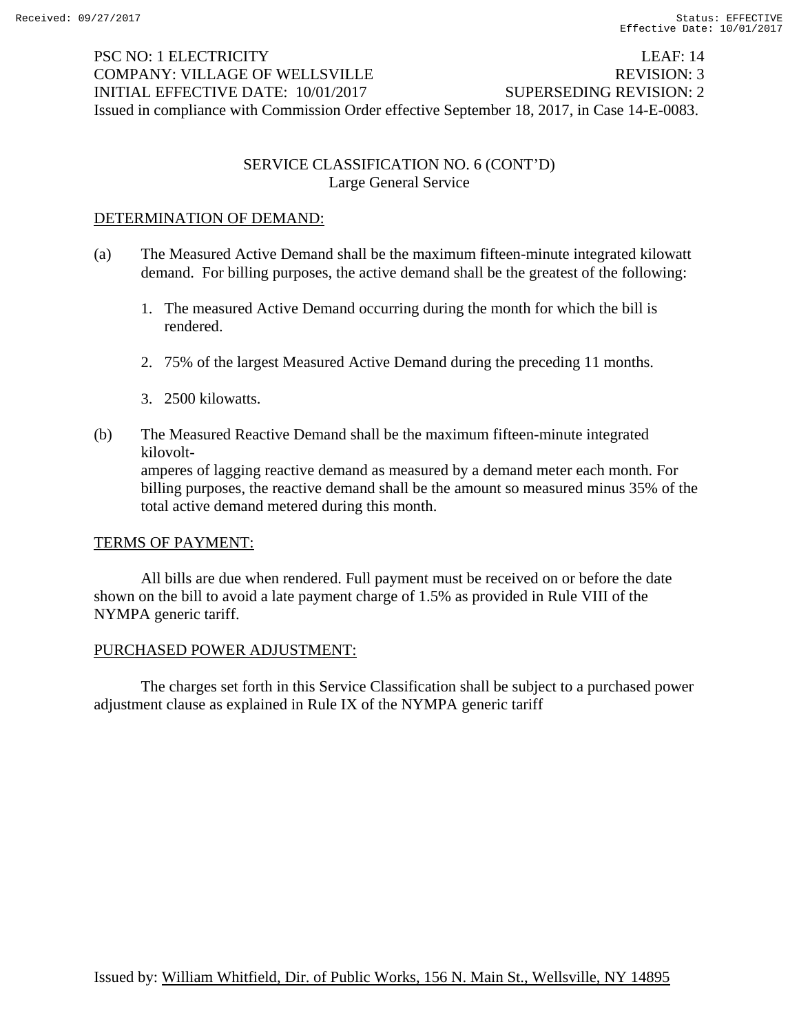# PSC NO: 1 ELECTRICITY LEAF: 14 COMPANY: VILLAGE OF WELLSVILLE REVISION: 3 INITIAL EFFECTIVE DATE: 10/01/2017 SUPERSEDING REVISION: 2 Issued in compliance with Commission Order effective September 18, 2017, in Case 14-E-0083.

## SERVICE CLASSIFICATION NO. 6 (CONT'D) Large General Service

## DETERMINATION OF DEMAND:

- (a) The Measured Active Demand shall be the maximum fifteen-minute integrated kilowatt demand. For billing purposes, the active demand shall be the greatest of the following:
	- 1. The measured Active Demand occurring during the month for which the bill is rendered.
	- 2. 75% of the largest Measured Active Demand during the preceding 11 months.
	- 3. 2500 kilowatts.
- (b) The Measured Reactive Demand shall be the maximum fifteen-minute integrated kilovolt amperes of lagging reactive demand as measured by a demand meter each month. For billing purposes, the reactive demand shall be the amount so measured minus 35% of the total active demand metered during this month.

## TERMS OF PAYMENT:

 All bills are due when rendered. Full payment must be received on or before the date shown on the bill to avoid a late payment charge of 1.5% as provided in Rule VIII of the NYMPA generic tariff.

## PURCHASED POWER ADJUSTMENT:

 The charges set forth in this Service Classification shall be subject to a purchased power adjustment clause as explained in Rule IX of the NYMPA generic tariff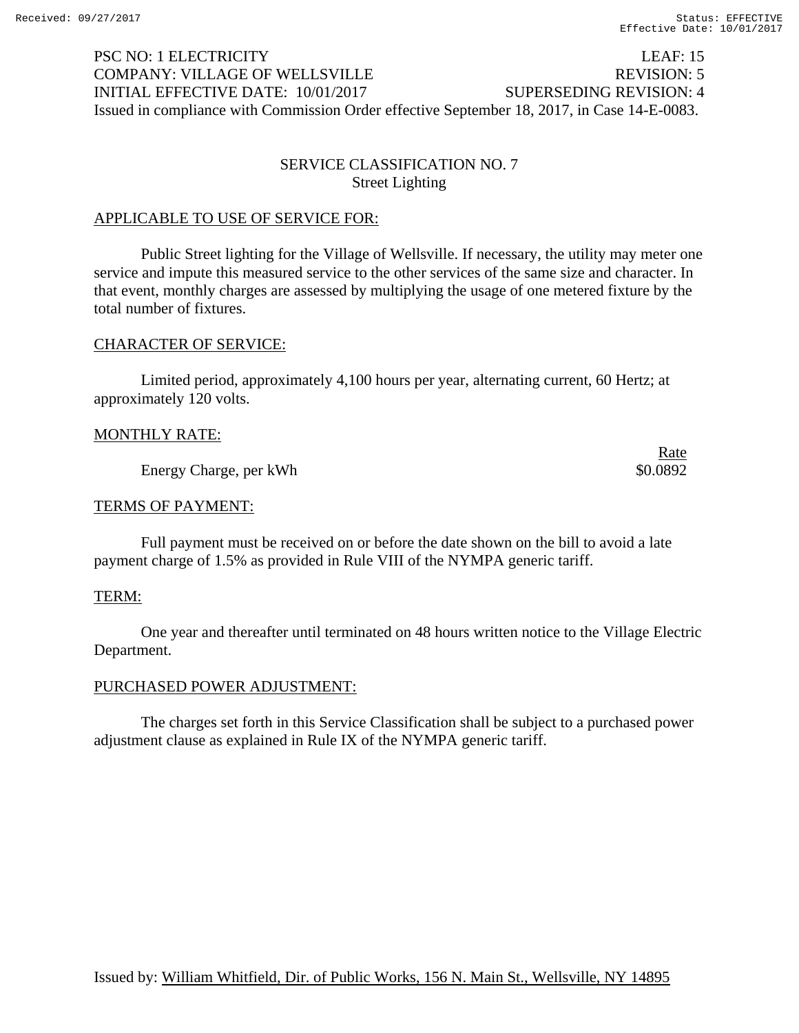# PSC NO: 1 ELECTRICITY LEAF: 15 COMPANY: VILLAGE OF WELLSVILLE REVISION: 5 INITIAL EFFECTIVE DATE: 10/01/2017 SUPERSEDING REVISION: 4 Issued in compliance with Commission Order effective September 18, 2017, in Case 14-E-0083.

## SERVICE CLASSIFICATION NO. 7 Street Lighting

## APPLICABLE TO USE OF SERVICE FOR:

 Public Street lighting for the Village of Wellsville. If necessary, the utility may meter one service and impute this measured service to the other services of the same size and character. In that event, monthly charges are assessed by multiplying the usage of one metered fixture by the total number of fixtures.

#### CHARACTER OF SERVICE:

 Limited period, approximately 4,100 hours per year, alternating current, 60 Hertz; at approximately 120 volts.

## MONTHLY RATE:

Energy Charge, per kWh  $\frac{1}{2}$  80.0892

<u>Rate</u>

## TERMS OF PAYMENT:

 Full payment must be received on or before the date shown on the bill to avoid a late payment charge of 1.5% as provided in Rule VIII of the NYMPA generic tariff.

## TERM:

 One year and thereafter until terminated on 48 hours written notice to the Village Electric Department.

## PURCHASED POWER ADJUSTMENT:

 The charges set forth in this Service Classification shall be subject to a purchased power adjustment clause as explained in Rule IX of the NYMPA generic tariff.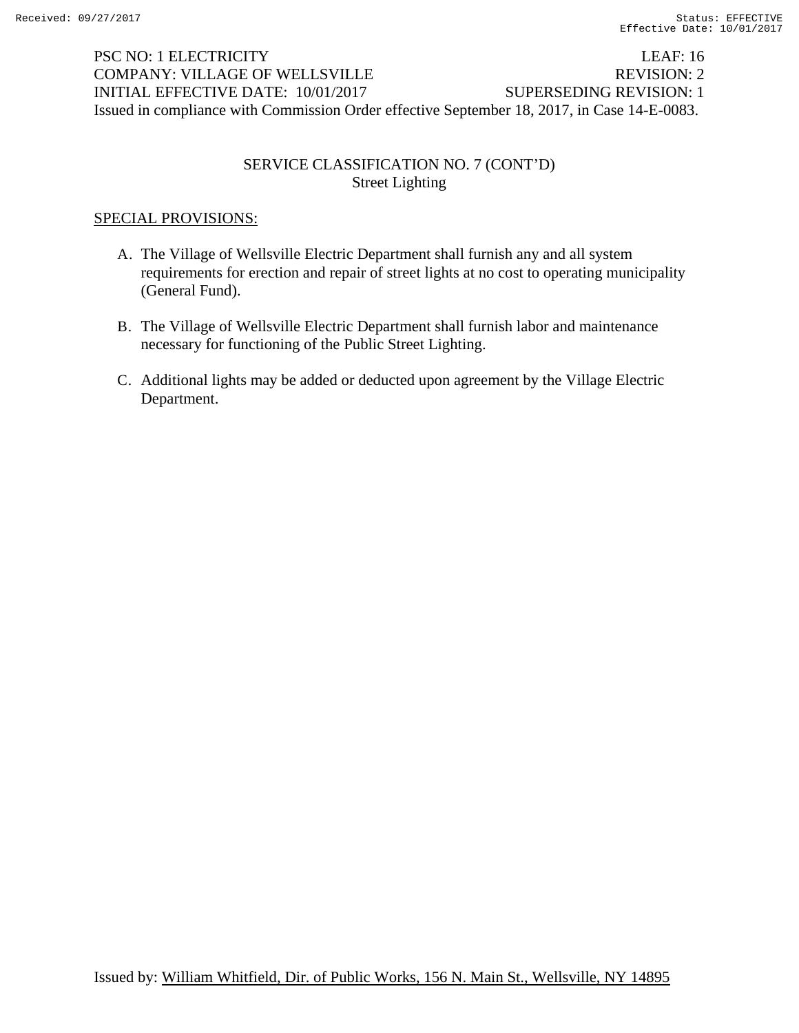# PSC NO: 1 ELECTRICITY LEAF: 16 COMPANY: VILLAGE OF WELLSVILLE REVISION: 2 INITIAL EFFECTIVE DATE: 10/01/2017 SUPERSEDING REVISION: 1 Issued in compliance with Commission Order effective September 18, 2017, in Case 14-E-0083.

## SERVICE CLASSIFICATION NO. 7 (CONT'D) Street Lighting

## SPECIAL PROVISIONS:

- A. The Village of Wellsville Electric Department shall furnish any and all system requirements for erection and repair of street lights at no cost to operating municipality (General Fund).
- B. The Village of Wellsville Electric Department shall furnish labor and maintenance necessary for functioning of the Public Street Lighting.
- C. Additional lights may be added or deducted upon agreement by the Village Electric Department.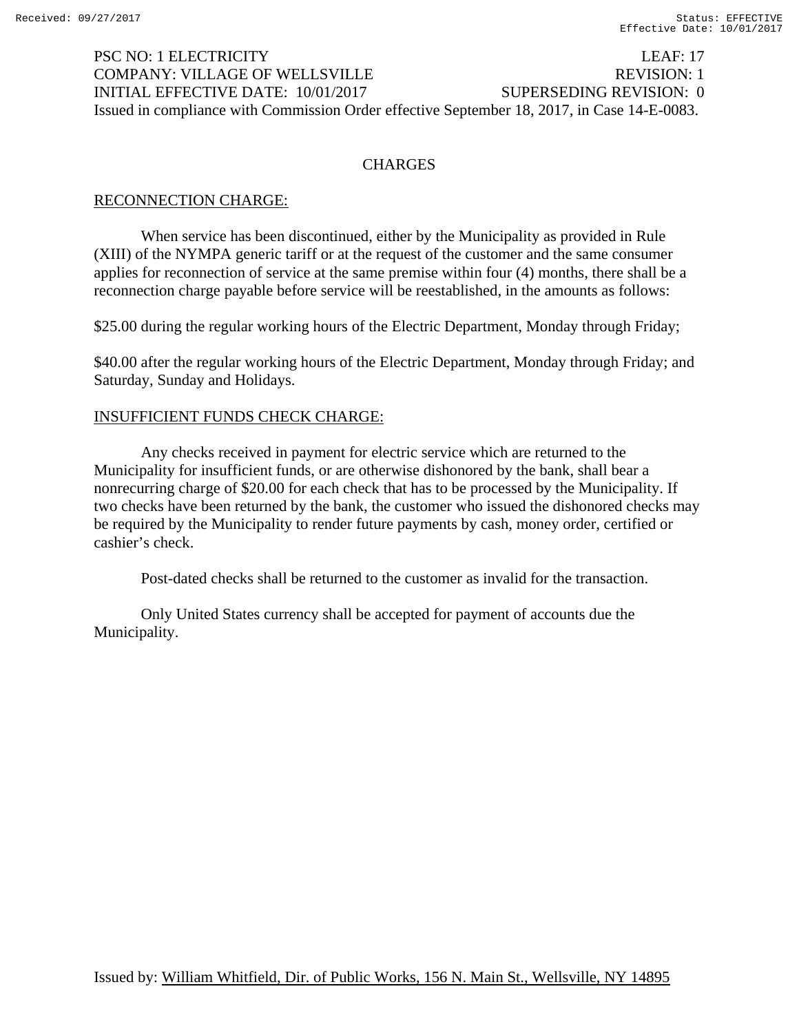## PSC NO: 1 ELECTRICITY LEAF: 17 COMPANY: VILLAGE OF WELLSVILLE REVISION: 1 INITIAL EFFECTIVE DATE: 10/01/2017 SUPERSEDING REVISION: 0 Issued in compliance with Commission Order effective September 18, 2017, in Case 14-E-0083.

## **CHARGES**

## RECONNECTION CHARGE:

 When service has been discontinued, either by the Municipality as provided in Rule (XIII) of the NYMPA generic tariff or at the request of the customer and the same consumer applies for reconnection of service at the same premise within four (4) months, there shall be a reconnection charge payable before service will be reestablished, in the amounts as follows:

\$25.00 during the regular working hours of the Electric Department, Monday through Friday;

\$40.00 after the regular working hours of the Electric Department, Monday through Friday; and Saturday, Sunday and Holidays.

## INSUFFICIENT FUNDS CHECK CHARGE:

 Any checks received in payment for electric service which are returned to the Municipality for insufficient funds, or are otherwise dishonored by the bank, shall bear a nonrecurring charge of \$20.00 for each check that has to be processed by the Municipality. If two checks have been returned by the bank, the customer who issued the dishonored checks may be required by the Municipality to render future payments by cash, money order, certified or cashier's check.

Post-dated checks shall be returned to the customer as invalid for the transaction.

 Only United States currency shall be accepted for payment of accounts due the Municipality.